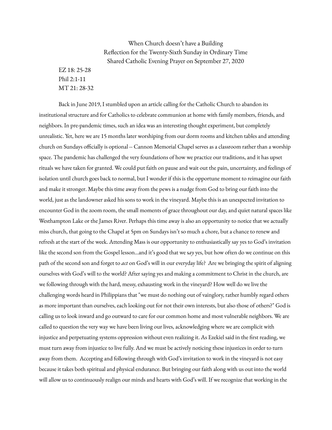## When Church doesn't have a Building Reflection for the Twenty-Sixth Sunday in Ordinary Time Shared Catholic Evening Prayer on September 27, 2020

EZ 18: 25-28 Phil 2:1-11 MT 21: 28-32

Back in June 2019, I stumbled upon an article calling for the Catholic Church to abandon its institutional structure and for Catholics to celebrate communion at home with family members, friends, and neighbors. In pre-pandemic times, such an idea was an interesting thought experiment, but completely unrealistic. Yet, here we are 15 months later worshiping from our dorm rooms and kitchen tables and attending church on Sundays officially is optional -- Cannon Memorial Chapel serves as a classroom rather than a worship space. The pandemic has challenged the very foundations of how we practice our traditions, and it has upset rituals we have taken for granted. We could put faith on pause and wait out the pain, uncertainty, and feelings of isolation until church goes back to normal, but I wonder if this is the opportune moment to reimagine our faith and make it stronger. Maybe this time away from the pews is a nudge from God to bring our faith into the world, just as the landowner asked his sons to work in the vineyard. Maybe this is an unexpected invitation to encounter God in the zoom room, the small moments of grace throughout our day, and quiet natural spaces like Westhampton Lake or the James River. Perhaps this time away is also an opportunity to notice that we actually miss church, that going to the Chapel at 5pm on Sundays isn't so much a chore, but a chance to renew and refresh at the start of the week. Attending Mass is our opportunity to enthusiastically say yes to God's invitation like the second son from the Gospel lesson...and it's good that we s*ay* yes, but how often do we continue on this path of the second son and forget to *act* on God's will in our everyday life? Are we bringing the spirit of aligning ourselves with God's will to the world? After saying yes and making a commitment to Christ in the church, are we following through with the hard, messy, exhausting work in the vineyard? How well do we live the challenging words heard in Philippians that "we must do nothing out of vainglory, rather humbly regard others as more important than ourselves, each looking out for not their own interests, but also those of others?" God is calling us to look inward and go outward to care for our common home and most vulnerable neighbors. We are called to question the very way we have been living our lives, acknowledging where we are complicit with injustice and perpetuating systems oppression without even realizing it. As Ezekiel said in the first reading, we must turn away from injustice to live fully. And we must be actively noticing these injustices in order to turn away from them. Accepting and following through with God's invitation to work in the vineyard is not easy because it takes both spiritual and physical endurance. But bringing our faith along with us out into the world will allow us to continuously realign our minds and hearts with God's will. If we recognize that working in the